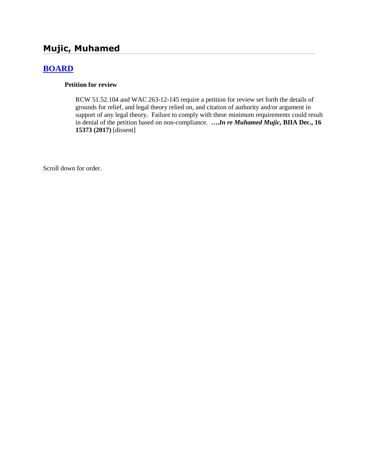# **Mujic, Muhamed**

# **[BOARD](http://www.biia.wa.gov/SDSubjectIndex.html#BOARD)**

#### **Petition for review**

RCW 51.52.104 and WAC 263-12-145 require a petition for review set forth the details of grounds for relief, and legal theory relied on, and citation of authority and/or argument in support of any legal theory. Failure to comply with these minimum requirements could result in denial of the petition based on non-compliance. **….***In re Muhamed Mujic,* **BIIA Dec., 16 15373 (2017)** [dissent]

Scroll down for order.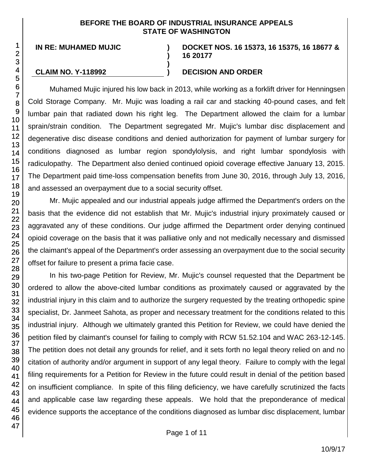#### **BEFORE THE BOARD OF INDUSTRIAL INSURANCE APPEALS STATE OF WASHINGTON**

**)**

**)**

**IN RE: MUHAMED MUJIC )**

**DOCKET NOS. 16 15373, 16 15375, 16 18677 & 16 20177**

## **CLAIM NO. Y-118992 ) DECISION AND ORDER**

Muhamed Mujic injured his low back in 2013, while working as a forklift driver for Henningsen Cold Storage Company. Mr. Mujic was loading a rail car and stacking 40-pound cases, and felt lumbar pain that radiated down his right leg. The Department allowed the claim for a lumbar sprain/strain condition. The Department segregated Mr. Mujic's lumbar disc displacement and degenerative disc disease conditions and denied authorization for payment of lumbar surgery for conditions diagnosed as lumbar region spondylolysis, and right lumbar spondylosis with radiculopathy. The Department also denied continued opioid coverage effective January 13, 2015. The Department paid time-loss compensation benefits from June 30, 2016, through July 13, 2016, and assessed an overpayment due to a social security offset.

Mr. Mujic appealed and our industrial appeals judge affirmed the Department's orders on the basis that the evidence did not establish that Mr. Mujic's industrial injury proximately caused or aggravated any of these conditions. Our judge affirmed the Department order denying continued opioid coverage on the basis that it was palliative only and not medically necessary and dismissed the claimant's appeal of the Department's order assessing an overpayment due to the social security offset for failure to present a prima facie case.

In his two-page Petition for Review, Mr. Mujic's counsel requested that the Department be ordered to allow the above-cited lumbar conditions as proximately caused or aggravated by the industrial injury in this claim and to authorize the surgery requested by the treating orthopedic spine specialist, Dr. Janmeet Sahota, as proper and necessary treatment for the conditions related to this industrial injury. Although we ultimately granted this Petition for Review, we could have denied the petition filed by claimant's counsel for failing to comply with RCW 51.52.104 and WAC 263-12-145. The petition does not detail any grounds for relief, and it sets forth no legal theory relied on and no citation of authority and/or argument in support of any legal theory. Failure to comply with the legal filing requirements for a Petition for Review in the future could result in denial of the petition based on insufficient compliance. In spite of this filing deficiency, we have carefully scrutinized the facts and applicable case law regarding these appeals. We hold that the preponderance of medical evidence supports the acceptance of the conditions diagnosed as lumbar disc displacement, lumbar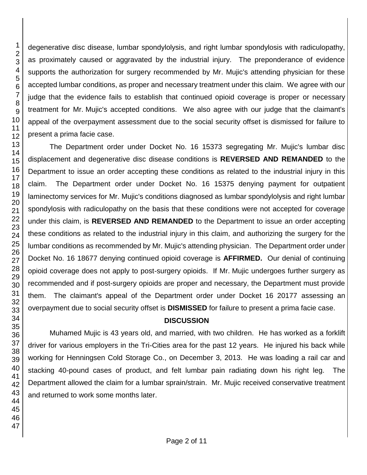degenerative disc disease, lumbar spondylolysis, and right lumbar spondylosis with radiculopathy, as proximately caused or aggravated by the industrial injury. The preponderance of evidence supports the authorization for surgery recommended by Mr. Mujic's attending physician for these accepted lumbar conditions, as proper and necessary treatment under this claim. We agree with our judge that the evidence fails to establish that continued opioid coverage is proper or necessary treatment for Mr. Mujic's accepted conditions. We also agree with our judge that the claimant's appeal of the overpayment assessment due to the social security offset is dismissed for failure to present a prima facie case.

The Department order under Docket No. 16 15373 segregating Mr. Mujic's lumbar disc displacement and degenerative disc disease conditions is **REVERSED AND REMANDED** to the Department to issue an order accepting these conditions as related to the industrial injury in this claim. The Department order under Docket No. 16 15375 denying payment for outpatient laminectomy services for Mr. Mujic's conditions diagnosed as lumbar spondylolysis and right lumbar spondylosis with radiculopathy on the basis that these conditions were not accepted for coverage under this claim, is **REVERSED AND REMANDED** to the Department to issue an order accepting these conditions as related to the industrial injury in this claim, and authorizing the surgery for the lumbar conditions as recommended by Mr. Mujic's attending physician. The Department order under Docket No. 16 18677 denying continued opioid coverage is **AFFIRMED.** Our denial of continuing opioid coverage does not apply to post-surgery opioids. If Mr. Mujic undergoes further surgery as recommended and if post-surgery opioids are proper and necessary, the Department must provide them. The claimant's appeal of the Department order under Docket 16 20177 assessing an overpayment due to social security offset is **DISMISSED** for failure to present a prima facie case.

#### **DISCUSSION**

Muhamed Mujic is 43 years old, and married, with two children. He has worked as a forklift driver for various employers in the Tri-Cities area for the past 12 years. He injured his back while working for Henningsen Cold Storage Co., on December 3, 2013. He was loading a rail car and stacking 40-pound cases of product, and felt lumbar pain radiating down his right leg. The Department allowed the claim for a lumbar sprain/strain. Mr. Mujic received conservative treatment and returned to work some months later.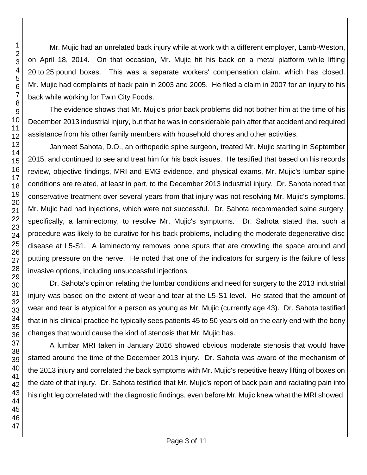Mr. Mujic had an unrelated back injury while at work with a different employer, Lamb-Weston, on April 18, 2014. On that occasion, Mr. Mujic hit his back on a metal platform while lifting to 25 pound boxes. This was a separate workers' compensation claim, which has closed. Mr. Mujic had complaints of back pain in 2003 and 2005. He filed a claim in 2007 for an injury to his back while working for Twin City Foods.

The evidence shows that Mr. Mujic's prior back problems did not bother him at the time of his December 2013 industrial injury, but that he was in considerable pain after that accident and required assistance from his other family members with household chores and other activities.

Janmeet Sahota, D.O., an orthopedic spine surgeon, treated Mr. Mujic starting in September 2015, and continued to see and treat him for his back issues. He testified that based on his records review, objective findings, MRI and EMG evidence, and physical exams, Mr. Mujic's lumbar spine conditions are related, at least in part, to the December 2013 industrial injury. Dr. Sahota noted that conservative treatment over several years from that injury was not resolving Mr. Mujic's symptoms. Mr. Mujic had had injections, which were not successful. Dr. Sahota recommended spine surgery, specifically, a laminectomy, to resolve Mr. Mujic's symptoms. Dr. Sahota stated that such a procedure was likely to be curative for his back problems, including the moderate degenerative disc disease at L5-S1. A laminectomy removes bone spurs that are crowding the space around and putting pressure on the nerve. He noted that one of the indicators for surgery is the failure of less invasive options, including unsuccessful injections.

Dr. Sahota's opinion relating the lumbar conditions and need for surgery to the 2013 industrial injury was based on the extent of wear and tear at the L5-S1 level. He stated that the amount of wear and tear is atypical for a person as young as Mr. Mujic (currently age 43). Dr. Sahota testified that in his clinical practice he typically sees patients 45 to 50 years old on the early end with the bony changes that would cause the kind of stenosis that Mr. Mujic has.

A lumbar MRI taken in January 2016 showed obvious moderate stenosis that would have started around the time of the December 2013 injury. Dr. Sahota was aware of the mechanism of the 2013 injury and correlated the back symptoms with Mr. Mujic's repetitive heavy lifting of boxes on the date of that injury. Dr. Sahota testified that Mr. Mujic's report of back pain and radiating pain into his right leg correlated with the diagnostic findings, even before Mr. Mujic knew what the MRI showed.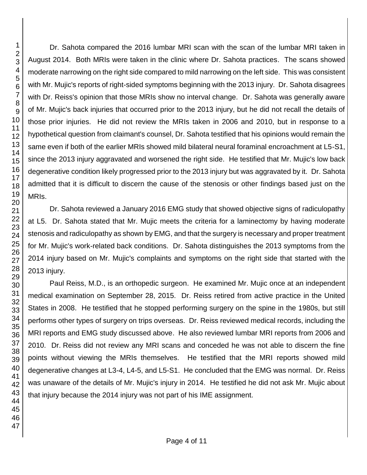Dr. Sahota compared the 2016 lumbar MRI scan with the scan of the lumbar MRI taken in August 2014. Both MRIs were taken in the clinic where Dr. Sahota practices. The scans showed moderate narrowing on the right side compared to mild narrowing on the left side. This was consistent with Mr. Mujic's reports of right-sided symptoms beginning with the 2013 injury. Dr. Sahota disagrees with Dr. Reiss's opinion that those MRIs show no interval change. Dr. Sahota was generally aware of Mr. Mujic's back injuries that occurred prior to the 2013 injury, but he did not recall the details of those prior injuries. He did not review the MRIs taken in 2006 and 2010, but in response to a hypothetical question from claimant's counsel, Dr. Sahota testified that his opinions would remain the same even if both of the earlier MRIs showed mild bilateral neural foraminal encroachment at L5-S1, since the 2013 injury aggravated and worsened the right side. He testified that Mr. Mujic's low back degenerative condition likely progressed prior to the 2013 injury but was aggravated by it. Dr. Sahota admitted that it is difficult to discern the cause of the stenosis or other findings based just on the MRIs.

Dr. Sahota reviewed a January 2016 EMG study that showed objective signs of radiculopathy at L5. Dr. Sahota stated that Mr. Mujic meets the criteria for a laminectomy by having moderate stenosis and radiculopathy as shown by EMG, and that the surgery is necessary and proper treatment for Mr. Mujic's work-related back conditions. Dr. Sahota distinguishes the 2013 symptoms from the 2014 injury based on Mr. Mujic's complaints and symptoms on the right side that started with the 2013 injury.

Paul Reiss, M.D., is an orthopedic surgeon. He examined Mr. Mujic once at an independent medical examination on September 28, 2015. Dr. Reiss retired from active practice in the United States in 2008. He testified that he stopped performing surgery on the spine in the 1980s, but still performs other types of surgery on trips overseas. Dr. Reiss reviewed medical records, including the MRI reports and EMG study discussed above. He also reviewed lumbar MRI reports from 2006 and 2010. Dr. Reiss did not review any MRI scans and conceded he was not able to discern the fine points without viewing the MRIs themselves. He testified that the MRI reports showed mild degenerative changes at L3-4, L4-5, and L5-S1. He concluded that the EMG was normal. Dr. Reiss was unaware of the details of Mr. Mujic's injury in 2014. He testified he did not ask Mr. Mujic about that injury because the 2014 injury was not part of his IME assignment.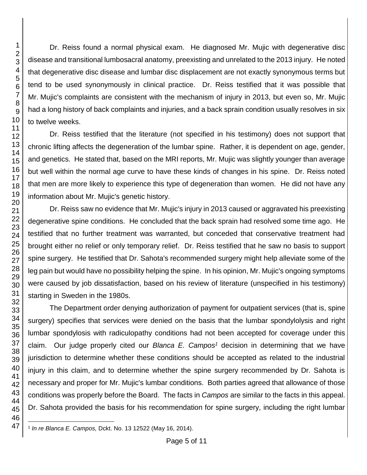Dr. Reiss found a normal physical exam. He diagnosed Mr. Mujic with degenerative disc disease and transitional lumbosacral anatomy, preexisting and unrelated to the 2013 injury. He noted that degenerative disc disease and lumbar disc displacement are not exactly synonymous terms but tend to be used synonymously in clinical practice. Dr. Reiss testified that it was possible that Mr. Mujic's complaints are consistent with the mechanism of injury in 2013, but even so, Mr. Mujic had a long history of back complaints and injuries, and a back sprain condition usually resolves in six to twelve weeks.

Dr. Reiss testified that the literature (not specified in his testimony) does not support that chronic lifting affects the degeneration of the lumbar spine. Rather, it is dependent on age, gender, and genetics. He stated that, based on the MRI reports, Mr. Mujic was slightly younger than average but well within the normal age curve to have these kinds of changes in his spine. Dr. Reiss noted that men are more likely to experience this type of degeneration than women. He did not have any information about Mr. Mujic's genetic history.

Dr. Reiss saw no evidence that Mr. Mujic's injury in 2013 caused or aggravated his preexisting degenerative spine conditions. He concluded that the back sprain had resolved some time ago. He testified that no further treatment was warranted, but conceded that conservative treatment had brought either no relief or only temporary relief. Dr. Reiss testified that he saw no basis to support spine surgery. He testified that Dr. Sahota's recommended surgery might help alleviate some of the leg pain but would have no possibility helping the spine. In his opinion, Mr. Mujic's ongoing symptoms were caused by job dissatisfaction, based on his review of literature (unspecified in his testimony) starting in Sweden in the 1980s.

The Department order denying authorization of payment for outpatient services (that is, spine surgery) specifies that services were denied on the basis that the lumbar spondylolysis and right lumbar spondylosis with radiculopathy conditions had not been accepted for coverage under this claim. Our judge properly cited our *Blanca E. Campos<sup>1</sup>* decision in determining that we have jurisdiction to determine whether these conditions should be accepted as related to the industrial injury in this claim, and to determine whether the spine surgery recommended by Dr. Sahota is necessary and proper for Mr. Mujic's lumbar conditions. Both parties agreed that allowance of those conditions was properly before the Board. The facts in *Campos* are similar to the facts in this appeal. Dr. Sahota provided the basis for his recommendation for spine surgery, including the right lumbar

l 1 *In re Blanca E. Campos,* Dckt. No. 13 12522 (May 16, 2014).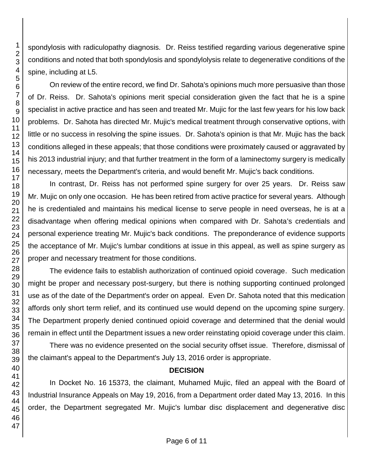spondylosis with radiculopathy diagnosis. Dr. Reiss testified regarding various degenerative spine conditions and noted that both spondylosis and spondylolysis relate to degenerative conditions of the spine, including at L5.

On review of the entire record, we find Dr. Sahota's opinions much more persuasive than those of Dr. Reiss. Dr. Sahota's opinions merit special consideration given the fact that he is a spine specialist in active practice and has seen and treated Mr. Mujic for the last few years for his low back problems. Dr. Sahota has directed Mr. Mujic's medical treatment through conservative options, with little or no success in resolving the spine issues. Dr. Sahota's opinion is that Mr. Mujic has the back conditions alleged in these appeals; that those conditions were proximately caused or aggravated by his 2013 industrial injury; and that further treatment in the form of a laminectomy surgery is medically necessary, meets the Department's criteria, and would benefit Mr. Mujic's back conditions.

In contrast, Dr. Reiss has not performed spine surgery for over 25 years. Dr. Reiss saw Mr. Mujic on only one occasion. He has been retired from active practice for several years. Although he is credentialed and maintains his medical license to serve people in need overseas, he is at a disadvantage when offering medical opinions when compared with Dr. Sahota's credentials and personal experience treating Mr. Mujic's back conditions. The preponderance of evidence supports the acceptance of Mr. Mujic's lumbar conditions at issue in this appeal, as well as spine surgery as proper and necessary treatment for those conditions.

The evidence fails to establish authorization of continued opioid coverage. Such medication might be proper and necessary post-surgery, but there is nothing supporting continued prolonged use as of the date of the Department's order on appeal. Even Dr. Sahota noted that this medication affords only short term relief, and its continued use would depend on the upcoming spine surgery. The Department properly denied continued opioid coverage and determined that the denial would remain in effect until the Department issues a new order reinstating opioid coverage under this claim.

There was no evidence presented on the social security offset issue. Therefore, dismissal of the claimant's appeal to the Department's July 13, 2016 order is appropriate.

## **DECISION**

In Docket No. 16 15373, the claimant, Muhamed Mujic, filed an appeal with the Board of Industrial Insurance Appeals on May 19, 2016, from a Department order dated May 13, 2016. In this order, the Department segregated Mr. Mujic's lumbar disc displacement and degenerative disc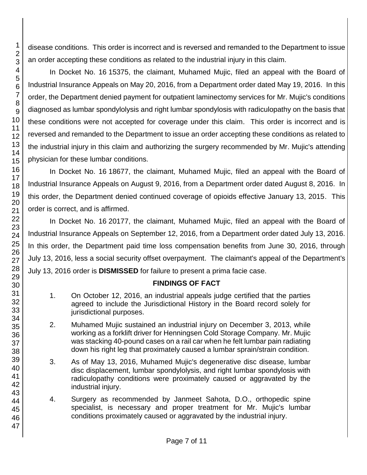disease conditions. This order is incorrect and is reversed and remanded to the Department to issue an order accepting these conditions as related to the industrial injury in this claim.

In Docket No. 16 15375, the claimant, Muhamed Mujic, filed an appeal with the Board of Industrial Insurance Appeals on May 20, 2016, from a Department order dated May 19, 2016. In this order, the Department denied payment for outpatient laminectomy services for Mr. Mujic's conditions diagnosed as lumbar spondylolysis and right lumbar spondylosis with radiculopathy on the basis that these conditions were not accepted for coverage under this claim. This order is incorrect and is reversed and remanded to the Department to issue an order accepting these conditions as related to the industrial injury in this claim and authorizing the surgery recommended by Mr. Mujic's attending physician for these lumbar conditions.

In Docket No. 16 18677, the claimant, Muhamed Mujic, filed an appeal with the Board of Industrial Insurance Appeals on August 9, 2016, from a Department order dated August 8, 2016. In this order, the Department denied continued coverage of opioids effective January 13, 2015. This order is correct, and is affirmed.

In Docket No. 16 20177, the claimant, Muhamed Mujic, filed an appeal with the Board of Industrial Insurance Appeals on September 12, 2016, from a Department order dated July 13, 2016. In this order, the Department paid time loss compensation benefits from June 30, 2016, through July 13, 2016, less a social security offset overpayment. The claimant's appeal of the Department's July 13, 2016 order is **DISMISSED** for failure to present a prima facie case.

## **FINDINGS OF FACT**

- 1. On October 12, 2016, an industrial appeals judge certified that the parties agreed to include the Jurisdictional History in the Board record solely for jurisdictional purposes.
- 2. Muhamed Mujic sustained an industrial injury on December 3, 2013, while working as a forklift driver for Henningsen Cold Storage Company. Mr. Mujic was stacking 40-pound cases on a rail car when he felt lumbar pain radiating down his right leg that proximately caused a lumbar sprain/strain condition.
- 3. As of May 13, 2016, Muhamed Mujic's degenerative disc disease, lumbar disc displacement, lumbar spondylolysis, and right lumbar spondylosis with radiculopathy conditions were proximately caused or aggravated by the industrial injury.
- 4. Surgery as recommended by Janmeet Sahota, D.O., orthopedic spine specialist, is necessary and proper treatment for Mr. Mujic's lumbar conditions proximately caused or aggravated by the industrial injury.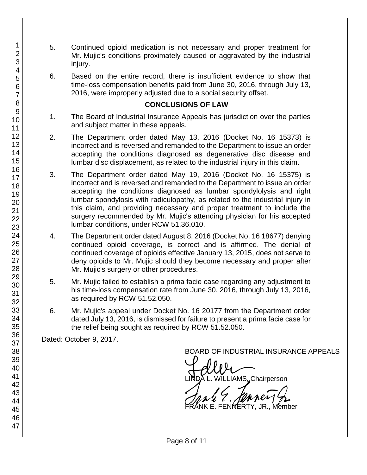- 5. Continued opioid medication is not necessary and proper treatment for Mr. Mujic's conditions proximately caused or aggravated by the industrial injury.
- 6. Based on the entire record, there is insufficient evidence to show that time-loss compensation benefits paid from June 30, 2016, through July 13, 2016, were improperly adjusted due to a social security offset.

### **CONCLUSIONS OF LAW**

- 1. The Board of Industrial Insurance Appeals has jurisdiction over the parties and subject matter in these appeals.
- 2. The Department order dated May 13, 2016 (Docket No. 16 15373) is incorrect and is reversed and remanded to the Department to issue an order accepting the conditions diagnosed as degenerative disc disease and lumbar disc displacement, as related to the industrial injury in this claim.
- 3. The Department order dated May 19, 2016 (Docket No. 16 15375) is incorrect and is reversed and remanded to the Department to issue an order accepting the conditions diagnosed as lumbar spondylolysis and right lumbar spondylosis with radiculopathy, as related to the industrial injury in this claim, and providing necessary and proper treatment to include the surgery recommended by Mr. Mujic's attending physician for his accepted lumbar conditions, under RCW 51.36.010.
- 4. The Department order dated August 8, 2016 (Docket No. 16 18677) denying continued opioid coverage, is correct and is affirmed. The denial of continued coverage of opioids effective January 13, 2015, does not serve to deny opioids to Mr. Mujic should they become necessary and proper after Mr. Mujic's surgery or other procedures.
- 5. Mr. Mujic failed to establish a prima facie case regarding any adjustment to his time-loss compensation rate from June 30, 2016, through July 13, 2016, as required by RCW 51.52.050.
- 6. Mr. Mujic's appeal under Docket No. 16 20177 from the Department order dated July 13, 2016, is dismissed for failure to present a prima facie case for the relief being sought as required by RCW 51.52.050.

Dated: October 9, 2017.

BOARD OF INDUSTRIAL INSURANCE APPEALS<br>
UNDA L. WILLIAMS, Chairperson

FENNERTY, JR., Member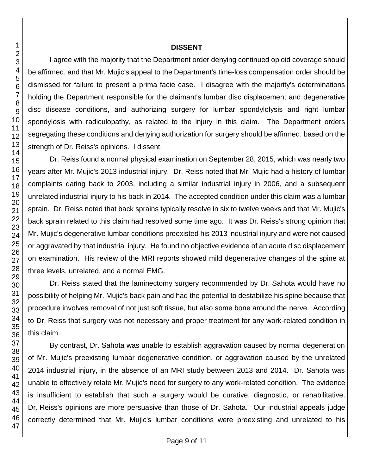#### **DISSENT**

I agree with the majority that the Department order denying continued opioid coverage should be affirmed, and that Mr. Mujic's appeal to the Department's time-loss compensation order should be dismissed for failure to present a prima facie case. I disagree with the majority's determinations holding the Department responsible for the claimant's lumbar disc displacement and degenerative disc disease conditions, and authorizing surgery for lumbar spondylolysis and right lumbar spondylosis with radiculopathy, as related to the injury in this claim. The Department orders segregating these conditions and denying authorization for surgery should be affirmed, based on the strength of Dr. Reiss's opinions. I dissent.

Dr. Reiss found a normal physical examination on September 28, 2015, which was nearly two years after Mr. Mujic's 2013 industrial injury. Dr. Reiss noted that Mr. Mujic had a history of lumbar complaints dating back to 2003, including a similar industrial injury in 2006, and a subsequent unrelated industrial injury to his back in 2014. The accepted condition under this claim was a lumbar sprain. Dr. Reiss noted that back sprains typically resolve in six to twelve weeks and that Mr. Mujic's back sprain related to this claim had resolved some time ago. It was Dr. Reiss's strong opinion that Mr. Mujic's degenerative lumbar conditions preexisted his 2013 industrial injury and were not caused or aggravated by that industrial injury. He found no objective evidence of an acute disc displacement on examination. His review of the MRI reports showed mild degenerative changes of the spine at three levels, unrelated, and a normal EMG.

Dr. Reiss stated that the laminectomy surgery recommended by Dr. Sahota would have no possibility of helping Mr. Mujic's back pain and had the potential to destabilize his spine because that procedure involves removal of not just soft tissue, but also some bone around the nerve. According to Dr. Reiss that surgery was not necessary and proper treatment for any work-related condition in this claim.

By contrast, Dr. Sahota was unable to establish aggravation caused by normal degeneration of Mr. Mujic's preexisting lumbar degenerative condition, or aggravation caused by the unrelated 2014 industrial injury, in the absence of an MRI study between 2013 and 2014. Dr. Sahota was unable to effectively relate Mr. Mujic's need for surgery to any work-related condition. The evidence is insufficient to establish that such a surgery would be curative, diagnostic, or rehabilitative. Dr. Reiss's opinions are more persuasive than those of Dr. Sahota. Our industrial appeals judge correctly determined that Mr. Mujic's lumbar conditions were preexisting and unrelated to his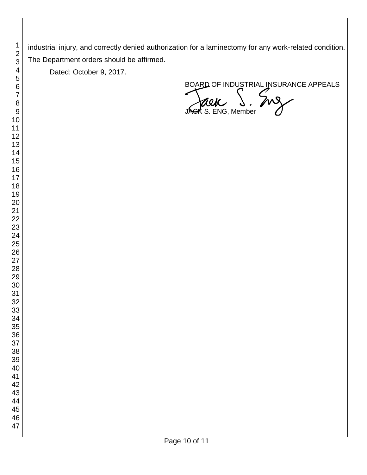industrial injury, and correctly denied authorization for a laminectomy for any work-related condition. The Department orders should be affirmed.

Dated: October 9, 2017.

BOARD OF INDUSTRIAL INSURANCE APPEALS<br>JACK S. ENG, Member